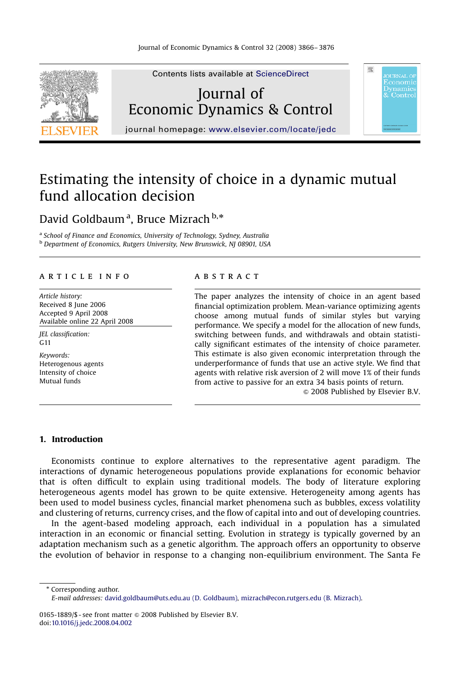

Contents lists available at [ScienceDirect](www.sciencedirect.com/science/journal/dyncon)

# Journal of Economic Dynamics & Control



journal homepage: <www.elsevier.com/locate/jedc>

# Estimating the intensity of choice in a dynamic mutual fund allocation decision

# David Goldbaum<sup>a</sup>, Bruce Mizrach <sup>b,\*</sup>

<sup>a</sup> School of Finance and Economics, University of Technology, Sydney, Australia **b** Department of Economics, Rutgers University, New Brunswick, NJ 08901, USA

#### article info

Article history: Received 8 June 2006 Accepted 9 April 2008 Available online 22 April 2008

JEL classification: G11

Keywords: Heterogenous agents Intensity of choice Mutual funds

#### **ABSTRACT**

The paper analyzes the intensity of choice in an agent based financial optimization problem. Mean-variance optimizing agents choose among mutual funds of similar styles but varying performance. We specify a model for the allocation of new funds, switching between funds, and withdrawals and obtain statistically significant estimates of the intensity of choice parameter. This estimate is also given economic interpretation through the underperformance of funds that use an active style. We find that agents with relative risk aversion of 2 will move 1% of their funds from active to passive for an extra 34 basis points of return.

 $\odot$  2008 Published by Elsevier B.V.

## 1. Introduction

Economists continue to explore alternatives to the representative agent paradigm. The interactions of dynamic heterogeneous populations provide explanations for economic behavior that is often difficult to explain using traditional models. The body of literature exploring heterogeneous agents model has grown to be quite extensive. Heterogeneity among agents has been used to model business cycles, financial market phenomena such as bubbles, excess volatility and clustering of returns, currency crises, and the flow of capital into and out of developing countries.

In the agent-based modeling approach, each individual in a population has a simulated interaction in an economic or financial setting. Evolution in strategy is typically governed by an adaptation mechanism such as a genetic algorithm. The approach offers an opportunity to observe the evolution of behavior in response to a changing non-equilibrium environment. The Santa Fe

\* Corresponding author. E-mail addresses: [david.goldbaum@uts.edu.au \(D. Goldbaum\)](mailto:david.goldbaum@uts.edu.au), [mizrach@econ.rutgers.edu \(B. Mizrach\).](mailto:mizrach@econ.rutgers.edu)

0165-1889/\$ - see front matter  $\odot$  2008 Published by Elsevier B.V. doi:[10.1016/j.jedc.2008.04.002](dx.doi.org/10.1016/j.jedc.2008.04.002)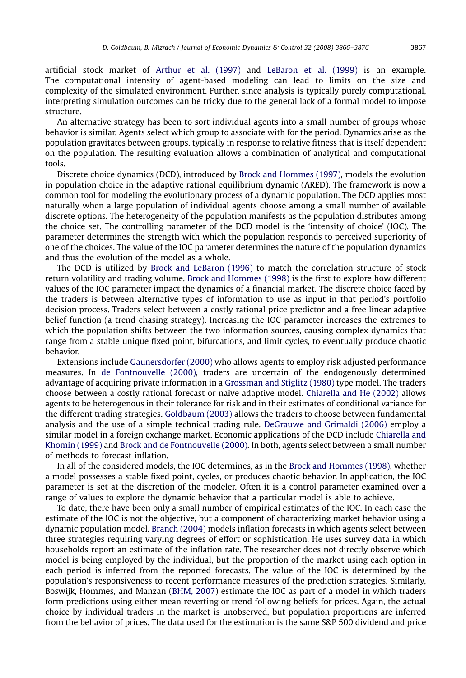artificial stock market of [Arthur et al. \(1997\)](#page-9-0) and [LeBaron et al. \(1999\)](#page-10-0) is an example. The computational intensity of agent-based modeling can lead to limits on the size and complexity of the simulated environment. Further, since analysis is typically purely computational, interpreting simulation outcomes can be tricky due to the general lack of a formal model to impose structure.

An alternative strategy has been to sort individual agents into a small number of groups whose behavior is similar. Agents select which group to associate with for the period. Dynamics arise as the population gravitates between groups, typically in response to relative fitness that is itself dependent on the population. The resulting evaluation allows a combination of analytical and computational tools.

Discrete choice dynamics (DCD), introduced by [Brock and Hommes \(1997\)](#page-9-0), models the evolution in population choice in the adaptive rational equilibrium dynamic (ARED). The framework is now a common tool for modeling the evolutionary process of a dynamic population. The DCD applies most naturally when a large population of individual agents choose among a small number of available discrete options. The heterogeneity of the population manifests as the population distributes among the choice set. The controlling parameter of the DCD model is the 'intensity of choice' (IOC). The parameter determines the strength with which the population responds to perceived superiority of one of the choices. The value of the IOC parameter determines the nature of the population dynamics and thus the evolution of the model as a whole.

The DCD is utilized by [Brock and LeBaron \(1996\)](#page-9-0) to match the correlation structure of stock return volatility and trading volume. [Brock and Hommes \(1998\)](#page-9-0) is the first to explore how different values of the IOC parameter impact the dynamics of a financial market. The discrete choice faced by the traders is between alternative types of information to use as input in that period's portfolio decision process. Traders select between a costly rational price predictor and a free linear adaptive belief function (a trend chasing strategy). Increasing the IOC parameter increases the extremes to which the population shifts between the two information sources, causing complex dynamics that range from a stable unique fixed point, bifurcations, and limit cycles, to eventually produce chaotic behavior.

Extensions include [Gaunersdorfer \(2000\)](#page-10-0) who allows agents to employ risk adjusted performance measures. In [de Fontnouvelle \(2000\),](#page-9-0) traders are uncertain of the endogenously determined advantage of acquiring private information in a [Grossman and Stiglitz \(1980\)](#page-10-0) type model. The traders choose between a costly rational forecast or naive adaptive model. [Chiarella and He \(2002\)](#page-9-0) allows agents to be heterogenous in their tolerance for risk and in their estimates of conditional variance for the different trading strategies. [Goldbaum \(2003\)](#page-10-0) allows the traders to choose between fundamental analysis and the use of a simple technical trading rule. [DeGrauwe and Grimaldi \(2006\)](#page-10-0) employ a similar model in a foreign exchange market. Economic applications of the DCD include [Chiarella and](#page-9-0) [Khomin \(1999\)](#page-9-0) and [Brock and de Fontnouvelle \(2000\)](#page-9-0). In both, agents select between a small number of methods to forecast inflation.

In all of the considered models, the IOC determines, as in the [Brock and Hommes \(1998\),](#page-9-0) whether a model possesses a stable fixed point, cycles, or produces chaotic behavior. In application, the IOC parameter is set at the discretion of the modeler. Often it is a control parameter examined over a range of values to explore the dynamic behavior that a particular model is able to achieve.

To date, there have been only a small number of empirical estimates of the IOC. In each case the estimate of the IOC is not the objective, but a component of characterizing market behavior using a dynamic population model. [Branch \(2004\)](#page-9-0) models inflation forecasts in which agents select between three strategies requiring varying degrees of effort or sophistication. He uses survey data in which households report an estimate of the inflation rate. The researcher does not directly observe which model is being employed by the individual, but the proportion of the market using each option in each period is inferred from the reported forecasts. The value of the IOC is determined by the population's responsiveness to recent performance measures of the prediction strategies. Similarly, Boswijk, Hommes, and Manzan ([BHM, 2007](#page-9-0)) estimate the IOC as part of a model in which traders form predictions using either mean reverting or trend following beliefs for prices. Again, the actual choice by individual traders in the market is unobserved, but population proportions are inferred from the behavior of prices. The data used for the estimation is the same S&P 500 dividend and price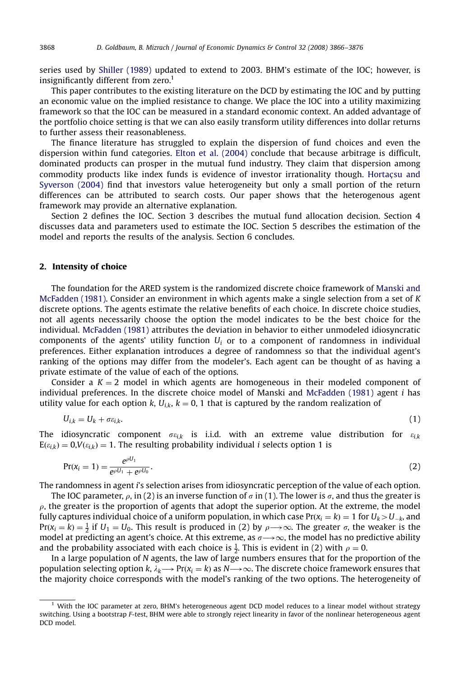series used by [Shiller \(1989\)](#page-10-0) updated to extend to 2003. BHM's estimate of the IOC; however, is insignificantly different from zero.<sup>1</sup>

This paper contributes to the existing literature on the DCD by estimating the IOC and by putting an economic value on the implied resistance to change. We place the IOC into a utility maximizing framework so that the IOC can be measured in a standard economic context. An added advantage of the portfolio choice setting is that we can also easily transform utility differences into dollar returns to further assess their reasonableness.

The finance literature has struggled to explain the dispersion of fund choices and even the dispersion within fund categories. [Elton et al. \(2004\)](#page-10-0) conclude that because arbitrage is difficult, dominated products can prosper in the mutual fund industry. They claim that dispersion among commodity products like index funds is evidence of investor irrationality though. [Hortac](#page-10-0)[su and](#page-10-0) [Syverson \(2004\)](#page-10-0) find that investors value heterogeneity but only a small portion of the return differences can be attributed to search costs. Our paper shows that the heterogenous agent framework may provide an alternative explanation.

Section 2 defines the IOC. Section 3 describes the mutual fund allocation decision. Section 4 discusses data and parameters used to estimate the IOC. Section 5 describes the estimation of the model and reports the results of the analysis. Section 6 concludes.

#### 2. Intensity of choice

The foundation for the ARED system is the randomized discrete choice framework of [Manski and](#page-10-0) [McFadden \(1981\)](#page-10-0). Consider an environment in which agents make a single selection from a set of K discrete options. The agents estimate the relative benefits of each choice. In discrete choice studies, not all agents necessarily choose the option the model indicates to be the best choice for the individual. [McFadden \(1981\)](#page-10-0) attributes the deviation in behavior to either unmodeled idiosyncratic components of the agents' utility function  $U_i$  or to a component of randomness in individual preferences. Either explanation introduces a degree of randomness so that the individual agent's ranking of the options may differ from the modeler's. Each agent can be thought of as having a private estimate of the value of each of the options.

Consider a  $K = 2$  model in which agents are homogeneous in their modeled component of individual preferences. In the discrete choice model of Manski and [McFadden \(1981\)](#page-10-0) agent *i* has utility value for each option k,  $U_{ik}$ ,  $k = 0$ , 1 that is captured by the random realization of

$$
U_{i,k} = U_k + \sigma \varepsilon_{i,k}.\tag{1}
$$

The idiosyncratic component  $\sigma \epsilon_{ik}$  is i.i.d. with an extreme value distribution for  $\epsilon_{ik}$  $E(\varepsilon_{i,k}) = 0, V(\varepsilon_{i,k}) = 1$ . The resulting probability individual *i* selects option 1 is

$$
Pr(x_i = 1) = \frac{e^{\rho U_1}}{e^{\rho U_1} + e^{\rho U_0}}.
$$
\n(2)

The randomness in agent i's selection arises from idiosyncratic perception of the value of each option.

The IOC parameter,  $\rho$ , in (2) is an inverse function of  $\sigma$  in (1). The lower is  $\sigma$ , and thus the greater is  $\rho$ , the greater is the proportion of agents that adopt the superior option. At the extreme, the model fully captures individual choice of a uniform population, in which case Pr( $x_i = k) = 1$  for  $U_k$   $>$   $U_{-k}$ , and  $Pr(x_i = k) = \frac{1}{2}$  if  $U_1 = U_0$ . This result is produced in (2) by  $\rho \rightarrow \infty$ . The greater  $\sigma$ , the weaker is the model at predicting an agent's choice. At this extreme, as  $\sigma{\longrightarrow}\infty$ , the model has no predictive ability and the probability associated with each choice is  $\frac{1}{2}$ . This is evident in (2) with  $\rho = 0$ .

In a large population of N agents, the law of large numbers ensures that for the proportion of the population selecting option k,  $\lambda_k \rightarrow \Pr(x_i = k)$  as N $\rightarrow \infty$ . The discrete choice framework ensures that the majority choice corresponds with the model's ranking of the two options. The heterogeneity of

 $<sup>1</sup>$  With the IOC parameter at zero, BHM's heterogeneous agent DCD model reduces to a linear model without strategy</sup> switching. Using a bootstrap F-test, BHM were able to strongly reject linearity in favor of the nonlinear heterogeneous agent DCD model.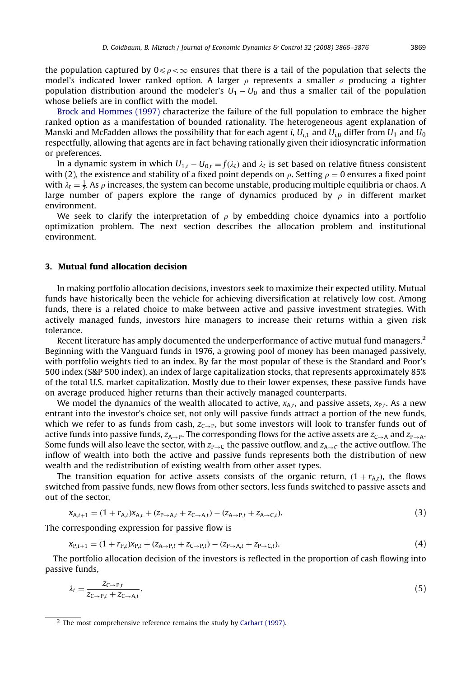the population captured by  $0 \leq \rho \leq \infty$  ensures that there is a tail of the population that selects the model's indicated lower ranked option. A larger  $\rho$  represents a smaller  $\sigma$  producing a tighter population distribution around the modeler's  $U_1 - U_0$  and thus a smaller tail of the population whose beliefs are in conflict with the model.

[Brock and Hommes \(1997\)](#page-9-0) characterize the failure of the full population to embrace the higher ranked option as a manifestation of bounded rationality. The heterogeneous agent explanation of Manski and McFadden allows the possibility that for each agent i,  $U_{i1}$  and  $U_{i0}$  differ from  $U_1$  and  $U_0$ respectfully, allowing that agents are in fact behaving rationally given their idiosyncratic information or preferences.

In a dynamic system in which  $U_{1,t}-U_{0,t}=f(\lambda_t)$  and  $\lambda_t$  is set based on relative fitness consistent with (2), the existence and stability of a fixed point depends on  $\rho$ . Setting  $\rho = 0$  ensures a fixed point with  $\lambda_t = \frac{1}{2}$ . As  $\rho$  increases, the system can become unstable, producing multiple equilibria or chaos. A large number of papers explore the range of dynamics produced by  $\rho$  in different market environment.

We seek to clarify the interpretation of  $\rho$  by embedding choice dynamics into a portfolio optimization problem. The next section describes the allocation problem and institutional environment.

#### 3. Mutual fund allocation decision

In making portfolio allocation decisions, investors seek to maximize their expected utility. Mutual funds have historically been the vehicle for achieving diversification at relatively low cost. Among funds, there is a related choice to make between active and passive investment strategies. With actively managed funds, investors hire managers to increase their returns within a given risk tolerance.

Recent literature has amply documented the underperformance of active mutual fund managers.<sup>2</sup> Beginning with the Vanguard funds in 1976, a growing pool of money has been managed passively, with portfolio weights tied to an index. By far the most popular of these is the Standard and Poor's 500 index (S&P 500 index), an index of large capitalization stocks, that represents approximately 85% of the total U.S. market capitalization. Mostly due to their lower expenses, these passive funds have on average produced higher returns than their actively managed counterparts.

We model the dynamics of the wealth allocated to active,  $x_{A,t}$ , and passive assets,  $x_{P,t}$ . As a new entrant into the investor's choice set, not only will passive funds attract a portion of the new funds, which we refer to as funds from cash,  $z_{\text{C}\rightarrow\text{P}}$ , but some investors will look to transfer funds out of active funds into passive funds,  $z_{A\rightarrow P}$ . The corresponding flows for the active assets are  $z_{C\rightarrow A}$  and  $z_{P\rightarrow A}$ . Some funds will also leave the sector, with  $z_{P\to C}$  the passive outflow, and  $z_{A\to C}$  the active outflow. The inflow of wealth into both the active and passive funds represents both the distribution of new wealth and the redistribution of existing wealth from other asset types.

The transition equation for active assets consists of the organic return,  $(1 + r<sub>A,t</sub>)$ , the flows switched from passive funds, new flows from other sectors, less funds switched to passive assets and out of the sector,

$$
x_{A,t+1} = (1 + r_{A,t})x_{A,t} + (z_{P \to A,t} + z_{C \to A,t}) - (z_{A \to P,t} + z_{A \to C,t}).
$$
\n(3)

The corresponding expression for passive flow is

$$
x_{P,t+1} = (1 + r_{P,t})x_{P,t} + (z_{A \to P,t} + z_{C \to P,t}) - (z_{P \to A,t} + z_{P \to C,t}).
$$
\n(4)

The portfolio allocation decision of the investors is reflected in the proportion of cash flowing into passive funds,

$$
\lambda_t = \frac{z_{C \to P,t}}{z_{C \to P,t} + z_{C \to A,t}}.\tag{5}
$$

 $2$  The most comprehensive reference remains the study by [Carhart \(1997\)](#page-9-0).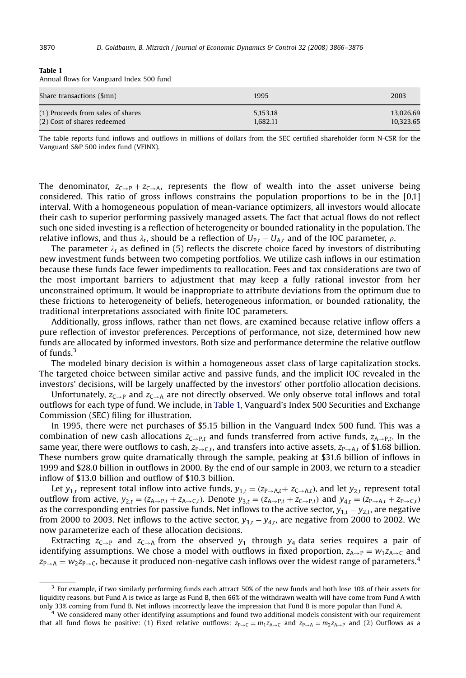Table 1

| --------                                         |
|--------------------------------------------------|
| Annual flows for Vanguard Index 500 fund         |
| $\sim$ $\sim$ $\sim$ $\sim$ $\sim$ $\sim$ $\sim$ |
|                                                  |

| Share transactions (\$mn)         | 1995     | 2003      |
|-----------------------------------|----------|-----------|
| (1) Proceeds from sales of shares | 5.153.18 | 13.026.69 |
| (2) Cost of shares redeemed       | 1.682.11 | 10.323.65 |

The table reports fund inflows and outflows in millions of dollars from the SEC certified shareholder form N-CSR for the Vanguard S&P 500 index fund (VFINX).

The denominator,  $z_{C\rightarrow P} + z_{C\rightarrow A}$ , represents the flow of wealth into the asset universe being considered. This ratio of gross inflows constrains the population proportions to be in the [0,1] interval. With a homogeneous population of mean-variance optimizers, all investors would allocate their cash to superior performing passively managed assets. The fact that actual flows do not reflect such one sided investing is a reflection of heterogeneity or bounded rationality in the population. The relative inflows, and thus  $\lambda_t$ , should be a reflection of  $U_{P,t} - U_{A,t}$  and of the IOC parameter,  $\rho$ .

The parameter  $\lambda_t$  as defined in (5) reflects the discrete choice faced by investors of distributing new investment funds between two competing portfolios. We utilize cash inflows in our estimation because these funds face fewer impediments to reallocation. Fees and tax considerations are two of the most important barriers to adjustment that may keep a fully rational investor from her unconstrained optimum. It would be inappropriate to attribute deviations from the optimum due to these frictions to heterogeneity of beliefs, heterogeneous information, or bounded rationality, the traditional interpretations associated with finite IOC parameters.

Additionally, gross inflows, rather than net flows, are examined because relative inflow offers a pure reflection of investor preferences. Perceptions of performance, not size, determined how new funds are allocated by informed investors. Both size and performance determine the relative outflow of funds.<sup>3</sup>

The modeled binary decision is within a homogeneous asset class of large capitalization stocks. The targeted choice between similar active and passive funds, and the implicit IOC revealed in the investors' decisions, will be largely unaffected by the investors' other portfolio allocation decisions.

Unfortunately,  $z_{C\rightarrow P}$  and  $z_{C\rightarrow A}$  are not directly observed. We only observe total inflows and total outflows for each type of fund. We include, in Table 1, Vanguard's Index 500 Securities and Exchange Commission (SEC) filing for illustration.

In 1995, there were net purchases of \$5.15 billion in the Vanguard Index 500 fund. This was a combination of new cash allocations  $z_{C\rightarrow Pt}$  and funds transferred from active funds,  $z_{A\rightarrow Pt}$ . In the same year, there were outflows to cash,  $z_{P\to\text{C}}$ , and transfers into active assets,  $z_{P\to\text{A}}$  of \$1.68 billion. These numbers grow quite dramatically through the sample, peaking at \$31.6 billion of inflows in 1999 and \$28.0 billion in outflows in 2000. By the end of our sample in 2003, we return to a steadier inflow of \$13.0 billion and outflow of \$10.3 billion.

Let  $y_{1,t}$  represent total inflow into active funds,  $y_{1,t} = (z_{P\rightarrow A,t} + z_{C\rightarrow A,t})$ , and let  $y_{2,t}$  represent total outflow from active,  $y_{2,t} = (z_{A \rightarrow P,t} + z_{A \rightarrow C,t})$ . Denote  $y_{3,t} = (z_{A \rightarrow P,t} + z_{C \rightarrow P,t})$  and  $y_{4,t} = (z_{P \rightarrow A,t} + z_{P \rightarrow C,t})$ as the corresponding entries for passive funds. Net inflows to the active sector,  $y_{1,t} - y_{2,t}$ , are negative from 2000 to 2003. Net inflows to the active sector,  $y_{3,t} - y_{4,t}$ , are negative from 2000 to 2002. We now parameterize each of these allocation decisions.

Extracting  $z_{\text{C}\rightarrow\text{P}}$  and  $z_{\text{C}\rightarrow\text{A}}$  from the observed  $y_1$  through  $y_4$  data series requires a pair of identifying assumptions. We chose a model with outflows in fixed proportion,  $z_{A\rightarrow P} = w_1 z_{A\rightarrow C}$  and  $z_{P\rightarrow A} = w_2 z_{P\rightarrow C}$ , because it produced non-negative cash inflows over the widest range of parameters.<sup>4</sup>

 $3$  For example, if two similarly performing funds each attract 50% of the new funds and both lose 10% of their assets for liquidity reasons, but Fund A is twice as large as Fund B, then 66% of the withdrawn wealth will have come from Fund A with only 33% coming from Fund B. Net inflows incorrectly leave the impression that Fund B is more popular than Fund A.

<sup>4</sup> We considered many other identifying assumptions and found two additional models consistent with our requirement that all fund flows be positive: (1) Fixed relative outflows:  $z_{P\to C} = m_1 z_{A\to C}$  and  $z_{P\to A} = m_2 z_{A\to P}$  and (2) Outflows as a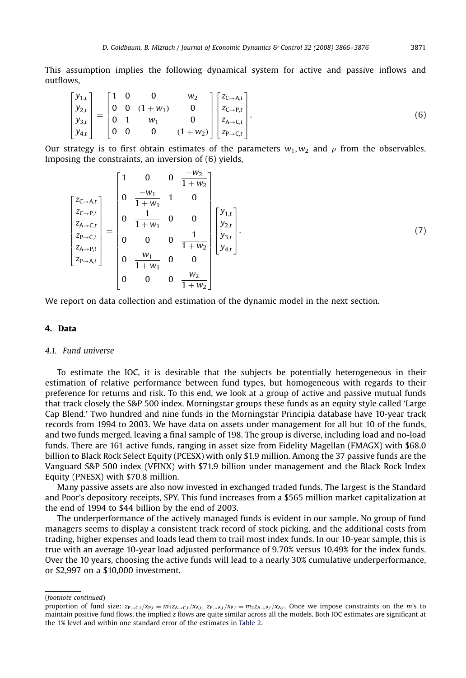This assumption implies the following dynamical system for active and passive inflows and outflows,

$$
\begin{bmatrix} y_{1,t} \\ y_{2,t} \\ y_{3,t} \\ y_{4,t} \end{bmatrix} = \begin{bmatrix} 1 & 0 & 0 & w_2 \\ 0 & 0 & (1+w_1) & 0 \\ 0 & 1 & w_1 & 0 \\ 0 & 0 & 0 & (1+w_2) \end{bmatrix} \begin{bmatrix} z_{C\rightarrow At} \\ z_{C\rightarrow P,t} \\ z_{A\rightarrow C,t} \\ z_{P\rightarrow C,t} \end{bmatrix}.
$$
 (6)

Our strategy is to first obtain estimates of the parameters  $w_1, w_2$  and  $\rho$  from the observables. Imposing the constraints, an inversion of (6) yields,

$$
\begin{bmatrix} z_{C \rightarrow A,t} \\ z_{C \rightarrow P,t} \\ z_{A \rightarrow C,t} \\ z_{A \rightarrow C,t} \\ z_{A \rightarrow P,t} \\ z_{A \rightarrow P,t} \end{bmatrix} = \begin{bmatrix} 1 & 0 & 0 & \frac{-w_2}{1+w_2} \\ 0 & \frac{-w_1}{1+w_1} & 1 & 0 \\ 0 & \frac{1}{1+w_1} & 0 & 0 \\ 0 & 0 & 0 & \frac{1}{1+w_2} \\ 0 & 0 & 0 & \frac{w_1}{1+w_2} \\ 0 & \frac{w_1}{1+w_1} & 0 & 0 \\ 0 & 0 & 0 & \frac{w_2}{1+w_2} \end{bmatrix} \begin{bmatrix} y_{1,t} \\ y_{2,t} \\ y_{3,t} \\ y_{4,t} \end{bmatrix}.
$$
 (7)

We report on data collection and estimation of the dynamic model in the next section.

#### 4. Data

#### 4.1. Fund universe

To estimate the IOC, it is desirable that the subjects be potentially heterogeneous in their estimation of relative performance between fund types, but homogeneous with regards to their preference for returns and risk. To this end, we look at a group of active and passive mutual funds that track closely the S&P 500 index. Morningstar groups these funds as an equity style called 'Large Cap Blend.' Two hundred and nine funds in the Morningstar Principia database have 10-year track records from 1994 to 2003. We have data on assets under management for all but 10 of the funds, and two funds merged, leaving a final sample of 198. The group is diverse, including load and no-load funds. There are 161 active funds, ranging in asset size from Fidelity Magellan (FMAGX) with \$68.0 billion to Black Rock Select Equity (PCESX) with only \$1.9 million. Among the 37 passive funds are the Vanguard S&P 500 index (VFINX) with \$71.9 billion under management and the Black Rock Index Equity (PNESX) with \$70:8 million.

Many passive assets are also now invested in exchanged traded funds. The largest is the Standard and Poor's depository receipts, SPY. This fund increases from a \$565 million market capitalization at the end of 1994 to \$44 billion by the end of 2003.

The underperformance of the actively managed funds is evident in our sample. No group of fund managers seems to display a consistent track record of stock picking, and the additional costs from trading, higher expenses and loads lead them to trail most index funds. In our 10-year sample, this is true with an average 10-year load adjusted performance of 9.70% versus 10.49% for the index funds. Over the 10 years, choosing the active funds will lead to a nearly 30% cumulative underperformance, or \$2,997 on a \$10,000 investment.

<sup>(</sup>footnote continued)

proportion of fund size:  $z_{P\rightarrow Ct}/x_{P,t}=m_1z_{A\rightarrow Ct}/x_{R,t}$ ,  $z_{P\rightarrow A,t}/x_{P,t}=m_2z_{A\rightarrow Pt}/x_{A,t}$ . Once we impose constraints on the m's to maintain positive fund flows, the implied z flows are quite similar across all the models. Both IOC estimates are significant at the 1% level and within one standard error of the estimates in [Table 2](#page-8-0).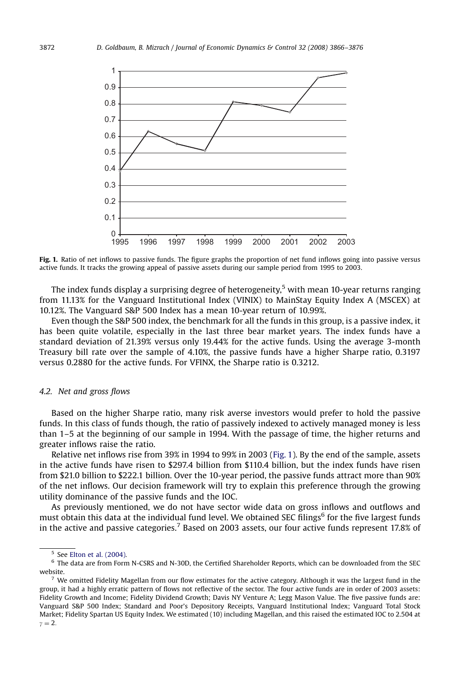

Fig. 1. Ratio of net inflows to passive funds. The figure graphs the proportion of net fund inflows going into passive versus active funds. It tracks the growing appeal of passive assets during our sample period from 1995 to 2003.

The index funds display a surprising degree of heterogeneity,<sup>5</sup> with mean 10-year returns ranging from 11.13% for the Vanguard Institutional Index (VINIX) to MainStay Equity Index A (MSCEX) at 10.12%. The Vanguard S&P 500 Index has a mean 10-year return of 10.99%.

Even though the S&P 500 index, the benchmark for all the funds in this group, is a passive index, it has been quite volatile, especially in the last three bear market years. The index funds have a standard deviation of 21.39% versus only 19.44% for the active funds. Using the average 3-month Treasury bill rate over the sample of 4.10%, the passive funds have a higher Sharpe ratio, 0.3197 versus 0.2880 for the active funds. For VFINX, the Sharpe ratio is 0.3212.

#### 4.2. Net and gross flows

Based on the higher Sharpe ratio, many risk averse investors would prefer to hold the passive funds. In this class of funds though, the ratio of passively indexed to actively managed money is less than 1–5 at the beginning of our sample in 1994. With the passage of time, the higher returns and greater inflows raise the ratio.

Relative net inflows rise from 39% in 1994 to 99% in 2003 (Fig. 1). By the end of the sample, assets in the active funds have risen to \$297.4 billion from \$110.4 billion, but the index funds have risen from \$21.0 billion to \$222.1 billion. Over the 10-year period, the passive funds attract more than 90% of the net inflows. Our decision framework will try to explain this preference through the growing utility dominance of the passive funds and the IOC.

As previously mentioned, we do not have sector wide data on gross inflows and outflows and must obtain this data at the individual fund level. We obtained SEC filings<sup>6</sup> for the five largest funds in the active and passive categories.<sup>7</sup> Based on 2003 assets, our four active funds represent 17.8% of

 $\overline{5}$  See [Elton et al. \(2004\)](#page-10-0).

<sup>6</sup> The data are from Form N-CSRS and N-30D, the Certified Shareholder Reports, which can be downloaded from the SEC website.

 $<sup>7</sup>$  We omitted Fidelity Magellan from our flow estimates for the active category. Although it was the largest fund in the</sup> group, it had a highly erratic pattern of flows not reflective of the sector. The four active funds are in order of 2003 assets: Fidelity Growth and Income; Fidelity Dividend Growth; Davis NY Venture A; Legg Mason Value. The five passive funds are: Vanguard S&P 500 Index; Standard and Poor's Depository Receipts, Vanguard Institutional Index; Vanguard Total Stock Market; Fidelity Spartan US Equity Index. We estimated (10) including Magellan, and this raised the estimated IOC to 2.504 at  $\gamma = 2.$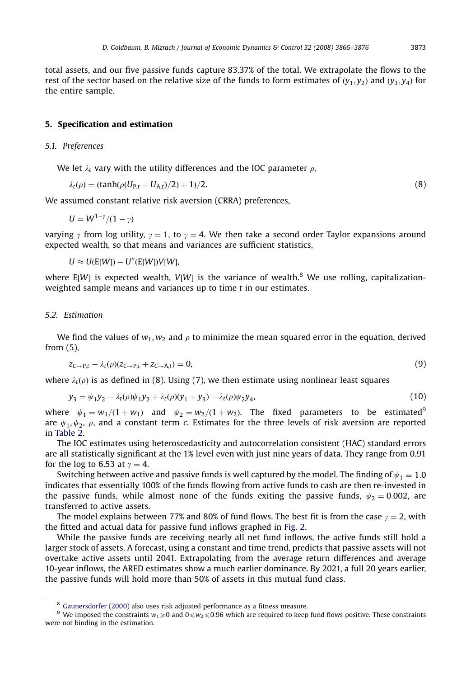#### 5. Specification and estimation

#### 5.1. Preferences

We let  $\lambda_t$  vary with the utility differences and the IOC parameter  $\rho$ ,

$$
\lambda_t(\rho) = (\tanh(\rho(U_{P,t} - U_{A,t})/2) + 1)/2.
$$
\n(8)

We assumed constant relative risk aversion (CRRA) preferences,

$$
U = W^{1-\gamma}/(1-\gamma)
$$

varying  $\gamma$  from log utility,  $\gamma = 1$ , to  $\gamma = 4$ . We then take a second order Taylor expansions around expected wealth, so that means and variances are sufficient statistics,

 $U \approx U(E[W]) - U''(E[W])V[W],$ 

where  $E[W]$  is expected wealth,  $V[W]$  is the variance of wealth.<sup>8</sup> We use rolling, capitalizationweighted sample means and variances up to time  $t$  in our estimates.

### 5.2. Estimation

We find the values of  $w_1, w_2$  and  $\rho$  to minimize the mean squared error in the equation, derived from (5),

$$
z_{\mathsf{C}\to\mathsf{P},t} - \lambda_t(\rho)(z_{\mathsf{C}\to\mathsf{P},t} + z_{\mathsf{C}\to\mathsf{A},t}) = 0,\tag{9}
$$

where  $\lambda_t(\rho)$  is as defined in (8). Using (7), we then estimate using nonlinear least squares

$$
y_3 = \psi_1 y_2 - \lambda_t(\rho)\psi_1 y_2 + \lambda_t(\rho)(y_1 + y_3) - \lambda_t(\rho)\psi_2 y_4, \tag{10}
$$

where  $\psi_1 = w_1/(1 + w_1)$  and  $\psi_2 = w_2/(1 + w_2)$ . The fixed parameters to be estimated<sup>9</sup> are  $\psi_1, \psi_2$ ,  $\rho$ , and a constant term c. Estimates for the three levels of risk aversion are reported in [Table 2](#page-8-0).

The IOC estimates using heteroscedasticity and autocorrelation consistent (HAC) standard errors are all statistically significant at the 1% level even with just nine years of data. They range from 0.91 for the log to 6.53 at  $\gamma = 4$ .

Switching between active and passive funds is well captured by the model. The finding of  $\psi_1 = 1.0$ indicates that essentially 100% of the funds flowing from active funds to cash are then re-invested in the passive funds, while almost none of the funds exiting the passive funds,  $\psi_2 = 0.002$ , are transferred to active assets.

The model explains between 77% and 80% of fund flows. The best fit is from the case  $\gamma = 2$ , with the fitted and actual data for passive fund inflows graphed in [Fig. 2](#page-8-0).

While the passive funds are receiving nearly all net fund inflows, the active funds still hold a larger stock of assets. A forecast, using a constant and time trend, predicts that passive assets will not overtake active assets until 2041. Extrapolating from the average return differences and average 10-year inflows, the ARED estimates show a much earlier dominance. By 2021, a full 20 years earlier, the passive funds will hold more than 50% of assets in this mutual fund class.

<sup>8</sup> [Gaunersdorfer \(2000\)](#page-10-0) also uses risk adjusted performance as a fitness measure.

<sup>&</sup>lt;sup>9</sup> We imposed the constraints  $w_1 \ge 0$  and  $0 \le w_2 \le 0.96$  which are required to keep fund flows positive. These constraints were not binding in the estimation.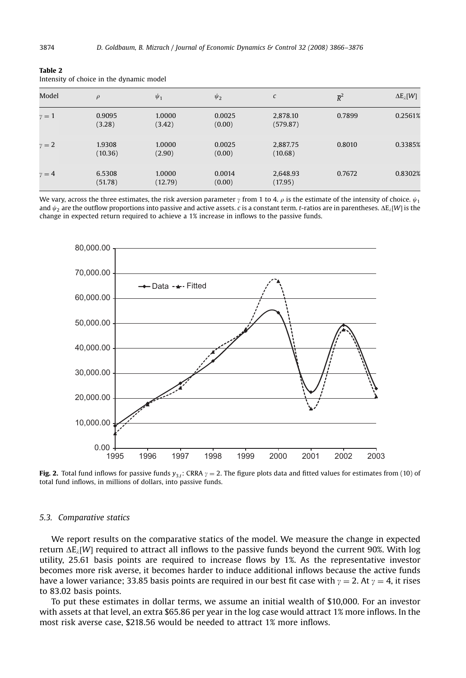| Model     | $\rho$            | $\psi_1$          | $\psi_2$         | $\boldsymbol{c}$     | $\overline{R}^2$ | $\Delta E_{\lambda}[W]$ |
|-----------|-------------------|-------------------|------------------|----------------------|------------------|-------------------------|
| $\nu = 1$ | 0.9095<br>(3.28)  | 1.0000<br>(3.42)  | 0.0025<br>(0.00) | 2,878.10<br>(579.87) | 0.7899           | 0.2561%                 |
| $\nu = 2$ | 1.9308<br>(10.36) | 1.0000<br>(2.90)  | 0.0025<br>(0.00) | 2,887.75<br>(10.68)  | 0.8010           | 0.3385%                 |
| $\nu = 4$ | 6.5308<br>(51.78) | 1.0000<br>(12.79) | 0.0014<br>(0.00) | 2,648.93<br>(17.95)  | 0.7672           | 0.8302%                 |

<span id="page-8-0"></span>

| Table 2                                  |  |
|------------------------------------------|--|
| Intensity of choice in the dynamic model |  |

We vary, across the three estimates, the risk aversion parameter  $\gamma$  from 1 to 4.  $\rho$  is the estimate of the intensity of choice.  $\psi_1$ and  $\psi_2$  are the outflow proportions into passive and active assets. c is a constant term. t-ratios are in parentheses.  $\Delta E_J[W]$  is the change in expected return required to achieve a 1% increase in inflows to the passive funds.



Fig. 2. Total fund inflows for passive funds  $y_{3,t}$ : CRRA  $\gamma = 2$ . The figure plots data and fitted values for estimates from (10) of total fund inflows, in millions of dollars, into passive funds.

#### 5.3. Comparative statics

We report results on the comparative statics of the model. We measure the change in expected return  $\Delta E_{\lambda}[W]$  required to attract all inflows to the passive funds beyond the current 90%. With log utility, 25.61 basis points are required to increase flows by 1%. As the representative investor becomes more risk averse, it becomes harder to induce additional inflows because the active funds have a lower variance; 33.85 basis points are required in our best fit case with  $\gamma = 2$ . At  $\gamma = 4$ , it rises to 83.02 basis points.

To put these estimates in dollar terms, we assume an initial wealth of \$10,000. For an investor with assets at that level, an extra \$65.86 per year in the log case would attract 1% more inflows. In the most risk averse case, \$218.56 would be needed to attract 1% more inflows.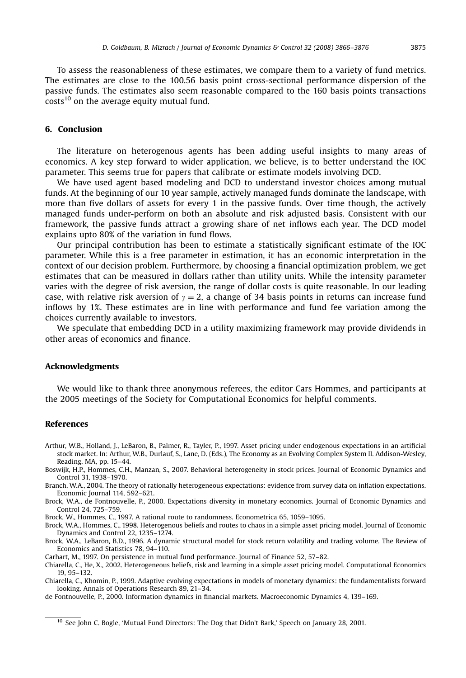<span id="page-9-0"></span>To assess the reasonableness of these estimates, we compare them to a variety of fund metrics. The estimates are close to the 100.56 basis point cross-sectional performance dispersion of the passive funds. The estimates also seem reasonable compared to the 160 basis points transactions  $costs<sup>10</sup>$  on the average equity mutual fund.

## 6. Conclusion

The literature on heterogenous agents has been adding useful insights to many areas of economics. A key step forward to wider application, we believe, is to better understand the IOC parameter. This seems true for papers that calibrate or estimate models involving DCD.

We have used agent based modeling and DCD to understand investor choices among mutual funds. At the beginning of our 10 year sample, actively managed funds dominate the landscape, with more than five dollars of assets for every 1 in the passive funds. Over time though, the actively managed funds under-perform on both an absolute and risk adjusted basis. Consistent with our framework, the passive funds attract a growing share of net inflows each year. The DCD model explains upto 80% of the variation in fund flows.

Our principal contribution has been to estimate a statistically significant estimate of the IOC parameter. While this is a free parameter in estimation, it has an economic interpretation in the context of our decision problem. Furthermore, by choosing a financial optimization problem, we get estimates that can be measured in dollars rather than utility units. While the intensity parameter varies with the degree of risk aversion, the range of dollar costs is quite reasonable. In our leading case, with relative risk aversion of  $\gamma = 2$ , a change of 34 basis points in returns can increase fund inflows by 1%. These estimates are in line with performance and fund fee variation among the choices currently available to investors.

We speculate that embedding DCD in a utility maximizing framework may provide dividends in other areas of economics and finance.

#### Acknowledgments

We would like to thank three anonymous referees, the editor Cars Hommes, and participants at the 2005 meetings of the Society for Computational Economics for helpful comments.

#### References

Arthur, W.B., Holland, J., LeBaron, B., Palmer, R., Tayler, P., 1997. Asset pricing under endogenous expectations in an artificial stock market. In: Arthur, W.B., Durlauf, S., Lane, D. (Eds.), The Economy as an Evolving Complex System II. Addison-Wesley, Reading, MA, pp. 15–44.

Boswijk, H.P., Hommes, C.H., Manzan, S., 2007. Behavioral heterogeneity in stock prices. Journal of Economic Dynamics and Control 31, 1938–1970.

Branch, W.A., 2004. The theory of rationally heterogeneous expectations: evidence from survey data on inflation expectations. Economic Journal 114, 592–621.

Brock, W.A., de Fontnouvelle, P., 2000. Expectations diversity in monetary economics. Journal of Economic Dynamics and Control 24, 725–759.

Brock, W., Hommes, C., 1997. A rational route to randomness. Econometrica 65, 1059–1095.

Brock, W.A., Hommes, C., 1998. Heterogenous beliefs and routes to chaos in a simple asset pricing model. Journal of Economic Dynamics and Control 22, 1235–1274.

Brock, W.A., LeBaron, B.D., 1996. A dynamic structural model for stock return volatility and trading volume. The Review of Economics and Statistics 78, 94–110.

Carhart, M., 1997. On persistence in mutual fund performance. Journal of Finance 52, 57–82.

Chiarella, C., He, X., 2002. Heterogeneous beliefs, risk and learning in a simple asset pricing model. Computational Economics 19, 95–132.

Chiarella, C., Khomin, P., 1999. Adaptive evolving expectations in models of monetary dynamics: the fundamentalists forward looking. Annals of Operations Research 89, 21–34.

de Fontnouvelle, P., 2000. Information dynamics in financial markets. Macroeconomic Dynamics 4, 139–169.

<sup>&</sup>lt;sup>10</sup> See John C. Bogle, 'Mutual Fund Directors: The Dog that Didn't Bark,' Speech on January 28, 2001.